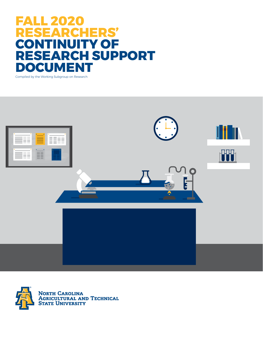# **FALL 2020 RESEARCHERS' CONTINUITY OF RESEARCH SUPPORT DOCUMENT**

Compiled by the Working Subgroup on Research



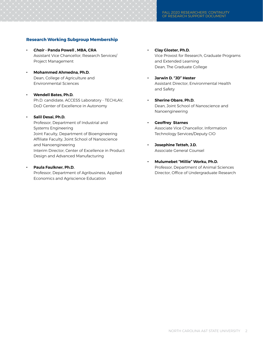#### **Research Working Subgroup Membership**

- **•** *Chair* **Panda Powell , MBA, CRA • Clay Gloster, Ph.D.** Project Management and Extended Learning
- **• Mohammed Ahmedna, Ph.D.**  Dean, College of Agriculture and **• Jarwin D. "JD" Hester**
- **• Wendell Bates, Ph.D.** Ph.D. candidate, ACCESS Laboratory - TECHLAV, **• Sherine Obare, Ph.D.**  DoD Center of Excellence in Autonomy **Dean, Joint School of Nanoscience and**

#### **• Salil Desai, Ph.D.**

 Professor, Department of Industrial and **• Geoffrey Starnes** Systems Engineering **Associate Vice Chancellor, Information** Associate Vice Chancellor, Information Joint Faculty, Department of Bioengineering Technology Services/Deputy CIO Affiliate Faculty, Joint School of Nanoscience and Nanoengineering **• Josephine Tetteh, J.D.** Interim Director, Center of Excellence in Product Associate General Counsel Design and Advanced Manufacturing

Economics and Agriscience Education

- Assistant Vice Chancellor, Research Services/ Vice Provost for Research, Graduate Programs Dean, The Graduate College
- Environmental Sciences Assistant Director, Environmental Health and Safety
	- Nanoengineering
	-
	-
- **• Mulumebet "Millie" Worku, Ph.D. Paula Faulkner, Ph.D.** *•* **<b>Professor, Department of Animal Sciences Professor, Department of Animal Sciences** Professor, Department of Agribusiness, Applied **Director, Office of Undergraduate Research**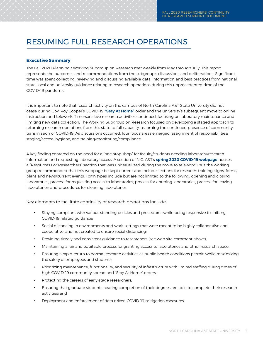## RESUMING FULL RESEARCH OPERATIONS

#### **Executive Summary**

The Fall 2020 Planning / Working Subgroup on Research met weekly from May through July. This report represents the outcomes and recommendations from the subgroup's discussions and deliberations. Significant time was spent collecting, reviewing and discussing available data, information and best practices from national, state, local and university guidance relating to research operations during this unprecedented time of the COVID-19 pandemic.

It is important to note that research activity on the campus of North Carolina A&T State University did not cease during Gov. Roy Cooper's COVID-19 **"Stay At Home"** order and the university's subsequent move to online instruction and telework. Time-sensitive research activities continued, focusing on laboratory maintenance and limiting new data collection. The Working Subgroup on Research focused on developing a staged approach to returning research operations from this state to full capacity, assuming the continued presence of community transmission of COVID-19. As discussions occurred, four focus areas emerged: assignment of responsibilities; staging/access; hygiene; and training/monitoring/compliance.

A key finding centered on the need for a "one-stop shop" for faculty/students needing laboratory/research information and requesting laboratory access. A section of N.C. A&T's **spring 2020 COVID-19 webpage** houses a "Resources For Researchers" section that was underutilized during the move to telework. Thus the working group recommended that this webpage be kept current and include sections for research: training, signs, forms, plans and news/current events. Form types include but are not limited to the following: opening and closing laboratories; process for requesting access to laboratories; process for entering laboratories; process for leaving laboratories; and procedures for cleaning laboratories.

Key elements to facilitate continuity of research operations include:

- **•** Staying compliant with various standing policies and procedures while being responsive to shifting COVID-19 related guidance;
- **•** Social distancing in environments and work settings that were meant to be highly collaborative and cooperative, and not created to ensure social distancing;
- **•** Providing timely and consistent guidance to researchers (see web site comment above);
- **•** Maintaining a fair and equitable process for granting access to laboratories and other research space;
- Ensuring a rapid return to normal research activities as public health conditions permit, while maximizing the safety of employees and students;
- Prioritizing maintenance, functionality, and security of infrastructure with limited staffing during times of high COVID-19 community spread and "Stay At Home" orders;
- **•** Protecting the careers of early-stage researchers;
- **•** Ensuring that graduate students nearing completion of their degrees are able to complete their research activities; and
- **•** Deployment and enforcement of data driven COVID-19 mitigation measures.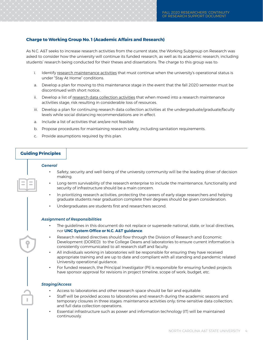#### **Charge to Working Group No. 1 (Academic Affairs and Research)**

As N.C. A&T seeks to increase research activities from the current state, the Working Subgroup on Research was asked to consider how the university will continue its funded research, as well as its academic research, including students' research being conducted for their theses and dissertations. The charge to this group was to:

- i. Identify research maintenance activities that must continue when the university's operational status is under "Stay At Home" conditions.
- a. Develop a plan for moving to this maintenance stage in the event that the fall 2020 semester must be discontinued with short notice.
- ii. Develop a list of research data collection activities that when moved into a research maintenance activities stage, risk resulting in considerable loss of resources.
- iii. Develop a plan for continuing research data collection activities at the undergraduate/graduate/faculty levels while social distancing recommendations are in effect.
- a. Include a list of activities that are/are not feasible.
- b. Propose procedures for maintaining research safety, including sanitation requirements.
- c. Provide assumptions required by this plan.

#### **Guiding Principles**

#### *General*

- **•** Safety, security and well-being of the university community will be the leading driver of decision making.
- **•** Long-term survivability of the research enterprise to include the maintenance, functionality and security of infrastructure should be a main concern.
- **•** In prioritizing research activities, protecting the careers of early stage researchers and helping graduate students near graduation complete their degrees should be given consideration.
- **•** Undergraduates are students first and researchers second.

#### *Assignment of Responsibilities*

- **•** The guidelines in this document do not replace or supersede national, state, or local directives, nor **UNC System Office or N.C. A&T guidance**.
- **•** Research related directives should flow through the Division of Research and Economic Development (DORED) to the College Deans and laboratories to ensure current information is consistently communicated to all research staff and faculty.
- **•** All individuals working in laboratories will be responsible for ensuring they have received appropriate training and are up to date and compliant with all standing and pandemic related University operational guidance.
- **•** For funded research, the Principal Investigator (PI) is responsible for ensuring funded projects have sponsor approval for revisions in project timeline, scope of work, budget, etc.

#### *Staging/Access*

- **•** Access to laboratories and other research space should be fair and equitable.
- **•** Staff will be provided access to laboratories and research during the academic seasons and temporary closures in three stages: maintenance activities only; time-sensitive data collection; and full data collection operations.
- **•** Essential infrastructure such as power and information technology (IT) will be maintained continuously.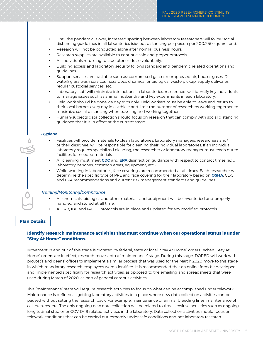- **•** Until the pandemic is over, increased spacing between laboratory researchers will follow social distancing guidelines in all laboratories (six-foot distancing per person per 200/250 square feet).
- **•** Research will not be conducted alone after normal business hours.
- **•** Research supplies are available to continue safe and proper protocols.
- **•** All individuals returning to laboratories do so voluntarily.
- **•** Building access and laboratory security follows standard and pandemic related operations and guidelines.
- **•** Support services are available such as: compressed gasses (compressed air, houses gases, DI water); glass wash services; hazardous chemical or biological waste pickup; supply deliveries; regular custodial services; etc.
- **•** Laboratory staff will minimize interactions in laboratories, researchers will identify key individuals to manage issues such as animal husbandry and key experiments in each laboratory.
- **•** Field work should be done via day trips only. Field workers must be able to leave and return to their local homes every day in a vehicle and limit the number of researchers working together, to maximize social distancing when traveling and working together.
- **•** Human-subjects data collection should focus on research that can comply with social distancing guidance that it is in effect at the current stage.

#### *Hygiene*

- **•** Facilities will provide materials to clean laboratories. Laboratory managers, researchers and/ or their designee, will be responsible for cleaning their individual laboratories. If an individual laboratory requires specialized cleaning, the researcher or laboratory manager must reach out to facilities for needed materials.
- **•** All cleaning must meet **CDC** and **EPA** disinfection guidance with respect to contact times (e.g., laboratory benches, common areas, equipment, etc.)
- **•** While working in laboratories, face coverings are recommended at all times. Each researcher will determine the specific type of PPE and face covering for their laboratory based on **OSHA**, CDC and EPA recommendations and current risk management standards and guidelines.

#### *Training/Monitoring/Compliance*

- **•** All chemicals, biologics and other materials and equipment will be inventoried and properly handled and stored at all time.
- **•** All IRB, IBC and IACUC protocols are in place and updated for any modified protocols.

#### **Plan Details**

#### **Identify research maintenance activities that must continue when our operational status is under "Stay At Home" conditions.**

Movement in and out of this stage is dictated by federal, state or local "Stay At Home" orders. When "Stay At Home" orders are in effect, research moves into a "maintenance" stage. During this stage, DORED will work with provost's and deans' offices to implement a similar process that was used for the March 2020 move to this stage in which mandatory research employees were identified. It is recommended that an online form be developed and implemented specifically for research activities, as opposed to the emailing and spreadsheets that were used during March of 2020, as part of general campus activities.

This "maintenance" state will require research activities to focus on what can be accomplished under telework. Maintenance is defined as getting laboratory activities to a place where new data collection activities can be paused without setting the research back. For example, maintenance of animal breeding lines, maintenance of cell cultures, etc. The only ongoing new data collection will be related to time sensitive activities such as ongoing longitudinal studies or COVID-19 related activities in the laboratory. Data collection activities should focus on telework conditions that can be carried out remotely under safe conditions and not laboratory research.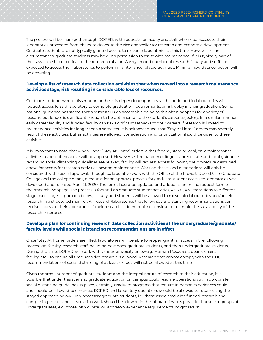The process will be managed through DORED, with requests for faculty and staff who need access to their laboratories processed from chairs, to deans, to the vice chancellor for research and economic development. Graduate students are not typically granted access to research laboratories at this time. However, in rare circumstances, graduate students may be given permission to assist with maintenance, if it is typically part of their assistantship or critical to the research mission. A very limited number of research faculty and staff are expected to access their laboratories to perform maintenance related activities. Minimal new data collection will be occurring.

#### **Develop a list of research data collection activities that when moved into a research maintenance activities stage, risk resulting in considerable loss of resources.**

Graduate students whose dissertation or thesis is dependent upon research conducted in laboratories will request access to said laboratory to complete graduation requirements, or risk delay in their graduation. Some national guidance has stated that a semester is an acceptable delay, as this often happens for a variety of reasons, but longer is significant enough to be detrimental to the student's career trajectory. In a similar manner, early career faculty and funded faculty can risk significant setbacks to their careers if research is limited to maintenance activities for longer than a semester. It is acknowledged that "Stay At Home" orders may severely restrict these activities, but as activities are allowed, consideration and prioritization should be given to these activities.

It is important to note, that when under "Stay At Home" orders, either federal, state or local, only maintenance activities as described above will be approved. However, as the pandemic lingers, and/or state and local guidance regarding social distancing guidelines are relaxed, faculty will request access following the procedure described above for access for research activities beyond maintenance. Work on theses and dissertations will only be considered with special approval. Through collaborative work with the Office of the Provost, DORED, The Graduate College and the college deans, a request for an approval process for graduate student access to laboratories was developed and released April 21, 2020. The form should be updated and added as an online request form to the research webpage. The process is focused on graduate student activities. As N.C. A&T transitions to different stages (see staged approach below), faculty and students will be allowed to move into laboratories and/or field research in a structured manner. All research/laboratories that follow social distancing recommendations can receive access to their laboratories if their research is deemed time sensitive to maintain the survivability of the research enterprise.

#### **Develop a plan for continuing research data collection activities at the undergraduate/graduate/ faculty levels while social distancing recommendations are in effect.**

Once "Stay At Home" orders are lifted, laboratories will be able to reopen granting access in the following procession: faculty; research staff including post docs; graduate students; and then undergraduate students. During this time, DORED will work with various university units—e.g., Human Resources, deans, chairs, faculty, etc.—to ensure all time-sensitive research is allowed. Research that cannot comply with the CDC recommendations of social distancing of at least six feet, will not be allowed at this time.

Given the small number of graduate students and the integral nature of research to their education, it is possible that under this scenario graduate education on campus could resume operations with appropriate social distancing guidelines in place. Certainly, graduate programs that require in person experiences could and should be allowed to continue. DORED and laboratory operations should be allowed to return using the staged approach below. Only necessary graduate students, i.e., those associated with funded research and completing theses and dissertation work should be allowed in the laboratories. It is possible that select groups of undergraduates, e.g., those with clinical or laboratory experience requirements, might return.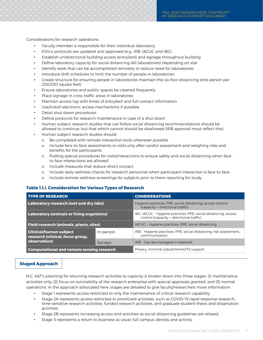Considerations for research operations:

- **•** Faculty member is responsible for their individual laboratory
- **•** Ethics protocols are updated and approved (e.g., IRB, IACUC and IBC)
- **•** Establish unidirectional building access (entry/exit) and signage throughout building
- **•** Define laboratory capacity for social distancing (All laboratories)-depending on size
- **•** Identify work that can be accomplished remotely to reduce need for laboratories
- **•** Introduce shift schedules to limit the number of people in laboratories
- **•** Create structure for ensuring people in laboratories maintain the six-foot distancing (one person per 200/250 square feet)
- **•** Ensure laboratories and public spaces be cleaned frequently
- **•** Place signage in cross traffic areas in laboratories
- **•** Maintain access log with times of entry/exit and full contact information
- **•** Use/install electronic access mechanisms if possible
- **•** Detail shut down procedures
- **•** Define protocols for research maintenance in case of a shut down
- **•** Human subject research studies that can follow social distancing recommendations should be allowed to continue, but that which cannot should be disallowed (IRB approval must reflect this)
- **•** Human subject research studies should:
	- o Be completed with remote interaction tools whenever possible
	- o Include face-to-face assessments or visits only after careful assessment and weighing risks and benefits for the participants
	- o Putting special procedures for visits/interactions to ensure safety and social distancing when faceto-face interactions are allowed
	- o Include measures that reduce direct contact
	- o Include daily wellness checks for research personnel when participant interaction is face-to-face
	- o Include remote wellness screenings for subjects prior to them reporting for study

#### **Table 1.1.i. Consideration for Various Types of Research**

| <b>TYPE OF RESEARCH</b>                                           |                | <b>CONSIDERATIONS</b>                                                                                      |
|-------------------------------------------------------------------|----------------|------------------------------------------------------------------------------------------------------------|
| Laboratory research (wet and dry labs)                            |                | Hygiene practices, PPE, social distancing, access control<br>(capacity + directional traffic)              |
| <b>Laboratory (animals or living organisms)</b>                   |                | IBC, IACUC - Hygiene practices, PPE, social distancing, access<br>control (capacity + directional traffic) |
| <b>Field research (animals, plants, sites)</b>                    |                | IACUC - Hygiene practices, PPE, social distancing                                                          |
| <b>Clinical/human subject</b><br>research (clinical, focus group, | In-person      | IRB - Hygiene practices, PPE, social distancing, risk assessment,<br>communication                         |
| observation)                                                      | <b>Surveys</b> | IRB - Can be managed in telework                                                                           |
| <b>Computational and remote sensing research</b>                  |                | Privacy, minimal adjustments/ITS support                                                                   |

#### **Staged Approach**

N.C. A&T's planning for returning research activities to capacity is broken down into three stages: (1) maintenance activities only; (2) focus on survivability of the research enterprise with special approvals granted; and (3) normal operations. In the approach advocated here, stages are detailed to give faculty/researchers more information:

- **•** Stage 1 represents access restricted to only the maintenance of critical research capability.
- **•** Stage 2A represents access restricted to prioritized activities, such as COVID-19 rapid response research, time-sensitive research activities, funded research activities, and graduate student thesis and dissertation activities.
- **•** Stage 2B represents increasing access and activities as social distancing guidelines are relaxed.
- **•** Stage 3 represents a return to business as usual, full campus density and activity.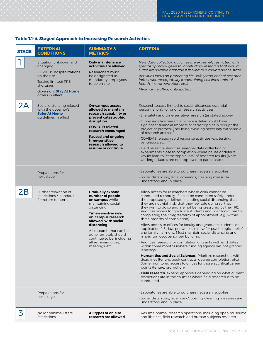### **Table 1.1-ii. Staged Approach to Increasing Research Activities**

| <b>STAGE</b> | <b>EXTERNAL</b><br><b>CONDITIONS</b>                                                                                                                               | <b>SUMMARY &amp;</b><br><b>METRICS</b>                                                                                                                                                                                                                                                                         | <b>CRITERIA</b>                                                                                                                                                                                                                                                                                                                                                                                                                                                                                                                                                                                                                                                                                                                                                                                                                                                                                                                                                                                                                                                                                                                                                                                                                                  |
|--------------|--------------------------------------------------------------------------------------------------------------------------------------------------------------------|----------------------------------------------------------------------------------------------------------------------------------------------------------------------------------------------------------------------------------------------------------------------------------------------------------------|--------------------------------------------------------------------------------------------------------------------------------------------------------------------------------------------------------------------------------------------------------------------------------------------------------------------------------------------------------------------------------------------------------------------------------------------------------------------------------------------------------------------------------------------------------------------------------------------------------------------------------------------------------------------------------------------------------------------------------------------------------------------------------------------------------------------------------------------------------------------------------------------------------------------------------------------------------------------------------------------------------------------------------------------------------------------------------------------------------------------------------------------------------------------------------------------------------------------------------------------------|
|              | Situation unknown and<br>changing.<br>COVID-19 hospitalizations<br>on the rise<br>Testing limited; PPE<br>shortages<br>Governor's Stay At Home<br>orders in effect | <b>Only maintenance</b><br>activities are allowed<br>Researchers must<br>be designated as<br>mandatory employees<br>to be on site                                                                                                                                                                              | New data collection activities are extremely restricted with<br>special approval given to longitudinal research that would<br>suffer irreparable damage if moved to a maintenance state.<br>Activities focus on protecting life, safety and critical research<br>infrastructure/capability (maintaining cell lines, animal<br>health, instrumentation, etc.).<br>Minimum staffing anticipated.                                                                                                                                                                                                                                                                                                                                                                                                                                                                                                                                                                                                                                                                                                                                                                                                                                                   |
| 2A           | Social distancing relaxed<br>with the governor's<br><b>Safer At Home</b><br>guidelines in effect                                                                   | <b>On-campus access</b><br>allowed to maintain<br>research capability or<br>prevent catastrophic<br>disruption<br><b>COVID-19 related</b><br>research encouraged<br><b>Paused and ongoing</b><br>time-sensitive<br>research allowed to<br>resume or continue                                                   | Research access limited to social-distanced essential<br>personnel only for priority research activities:<br>· Life safety and time-sensitive research (as stated above)<br>· "Time-sensitive research," where a delay would have<br>significant financial impacts or catastrophically disrupt the<br>project or protocol (including avoiding necessary euthanasia<br>of research animals)<br>COVID-19 related rapid response activities (e.g. testing,<br>ventilators, etc.) **<br>· Field research: Prioritize seasonal data collection or<br>experiments close to completion where pause or deferral<br>would lead to "catastrophic loss" of research results (Note:<br>Undergraduates are not approved to participate.)                                                                                                                                                                                                                                                                                                                                                                                                                                                                                                                      |
|              | Preparations for<br>next stage                                                                                                                                     |                                                                                                                                                                                                                                                                                                                | · Laboratories are able to purchase necessary supplies<br>· Social distancing, facial coverings, cleaning measures<br>understood and in place                                                                                                                                                                                                                                                                                                                                                                                                                                                                                                                                                                                                                                                                                                                                                                                                                                                                                                                                                                                                                                                                                                    |
| 2В           | Further relaxation of<br>restrictions / standards<br>for return to normal                                                                                          | <b>Gradually expand</b><br>number of people<br>on campus while<br>maintaining social<br>distancing<br>Time-sensitive new<br>on-campus research<br>allowed, with social<br>distancing<br>All research that can be<br>done remotely should<br>continue to be, including<br>all seminars, group<br>meetings, etc. | · Allow access for researchers whose work cannot be<br>conducted remotely, if it can be conducted safely under<br>the proposed guidelines (including social distancing, that<br>they are not high risk, that they feel safe doing so, that<br>they wish to do so and are not being pressured by their PI).<br>Prioritize access for graduate students and postdocs close to<br>completing their degree/term of appointment (e.g., within<br>three months of completion).<br>· Allow access to offices for faculty and graduate students on<br>application, 1-3 days per week to allow for psychological relief<br>and family harmony. Must maintain social distancing and<br>maximum occupancy per building.<br>· Prioritize research for completion of grants with end dates<br>within three months (where funding agency has not granted<br>leniency).<br><b>· Humanities and Social Sciences:</b> Prioritize researchers with<br>deadlines (tenure, book contracts, degree completion, etc.).<br>Some monitored access to offices for those at critical career<br>points (tenure, promotion).<br>· Field research: expand approvals depending on what current<br>restrictions are in the counties where field research is to be<br>conducted. |
|              | Preparations for<br>next stage                                                                                                                                     |                                                                                                                                                                                                                                                                                                                | . Laboratories are able to purchase necessary supplies<br>· Social distancing, face mask/covering, cleaning measures are<br>understood and in place                                                                                                                                                                                                                                                                                                                                                                                                                                                                                                                                                                                                                                                                                                                                                                                                                                                                                                                                                                                                                                                                                              |
| 3            | No (or minimal) state<br>restrictions                                                                                                                              | All types of on-site<br>research are allowed                                                                                                                                                                                                                                                                   | · Resume normal research operations, including open museums<br>and libraries, field research and human subjects research                                                                                                                                                                                                                                                                                                                                                                                                                                                                                                                                                                                                                                                                                                                                                                                                                                                                                                                                                                                                                                                                                                                         |